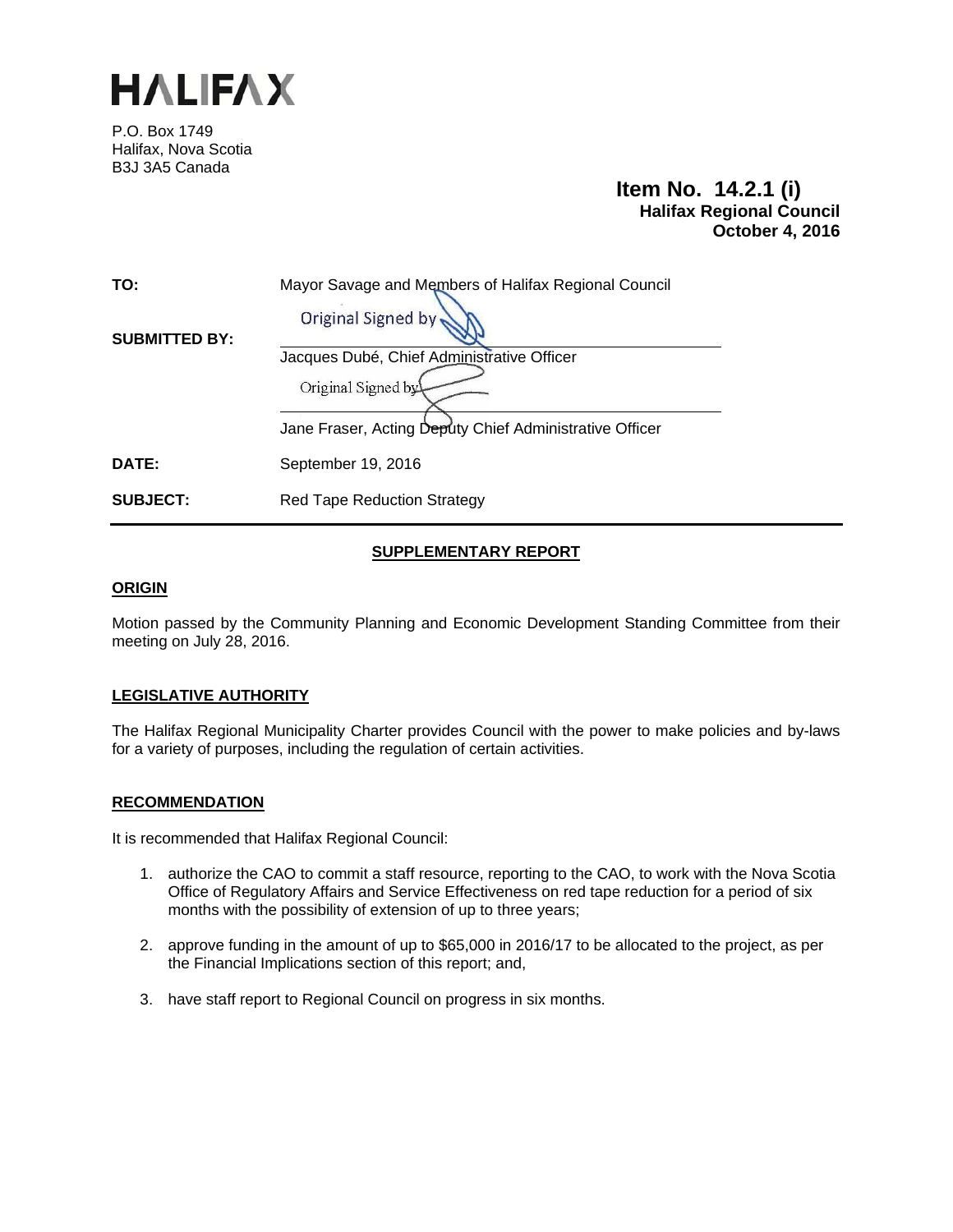

P.O. Box 1749 Halifax, Nova Scotia B3J 3A5 Canada

# **Item No. 14.2.1 (i) Halifax Regional Council October 4, 2016**

| TO:                  | Mayor Savage and Members of Halifax Regional Council<br>Original Signed by |
|----------------------|----------------------------------------------------------------------------|
| <b>SUBMITTED BY:</b> | Jacques Dubé, Chief Administrative Officer<br>Original Signed by           |
|                      | Jane Fraser, Acting Deputy Chief Administrative Officer                    |
| <b>DATE:</b>         | September 19, 2016                                                         |
| <b>SUBJECT:</b>      | <b>Red Tape Reduction Strategy</b>                                         |

## **SUPPLEMENTARY REPORT**

## **ORIGIN**

Motion passed by the Community Planning and Economic Development Standing Committee from their meeting on July 28, 2016.

## **LEGISLATIVE AUTHORITY**

The Halifax Regional Municipality Charter provides Council with the power to make policies and by-laws for a variety of purposes, including the regulation of certain activities.

## **RECOMMENDATION**

It is recommended that Halifax Regional Council:

- 1. authorize the CAO to commit a staff resource, reporting to the CAO, to work with the Nova Scotia Office of Regulatory Affairs and Service Effectiveness on red tape reduction for a period of six months with the possibility of extension of up to three years;
- 2. approve funding in the amount of up to \$65,000 in 2016/17 to be allocated to the project, as per the Financial Implications section of this report; and,
- 3. have staff report to Regional Council on progress in six months.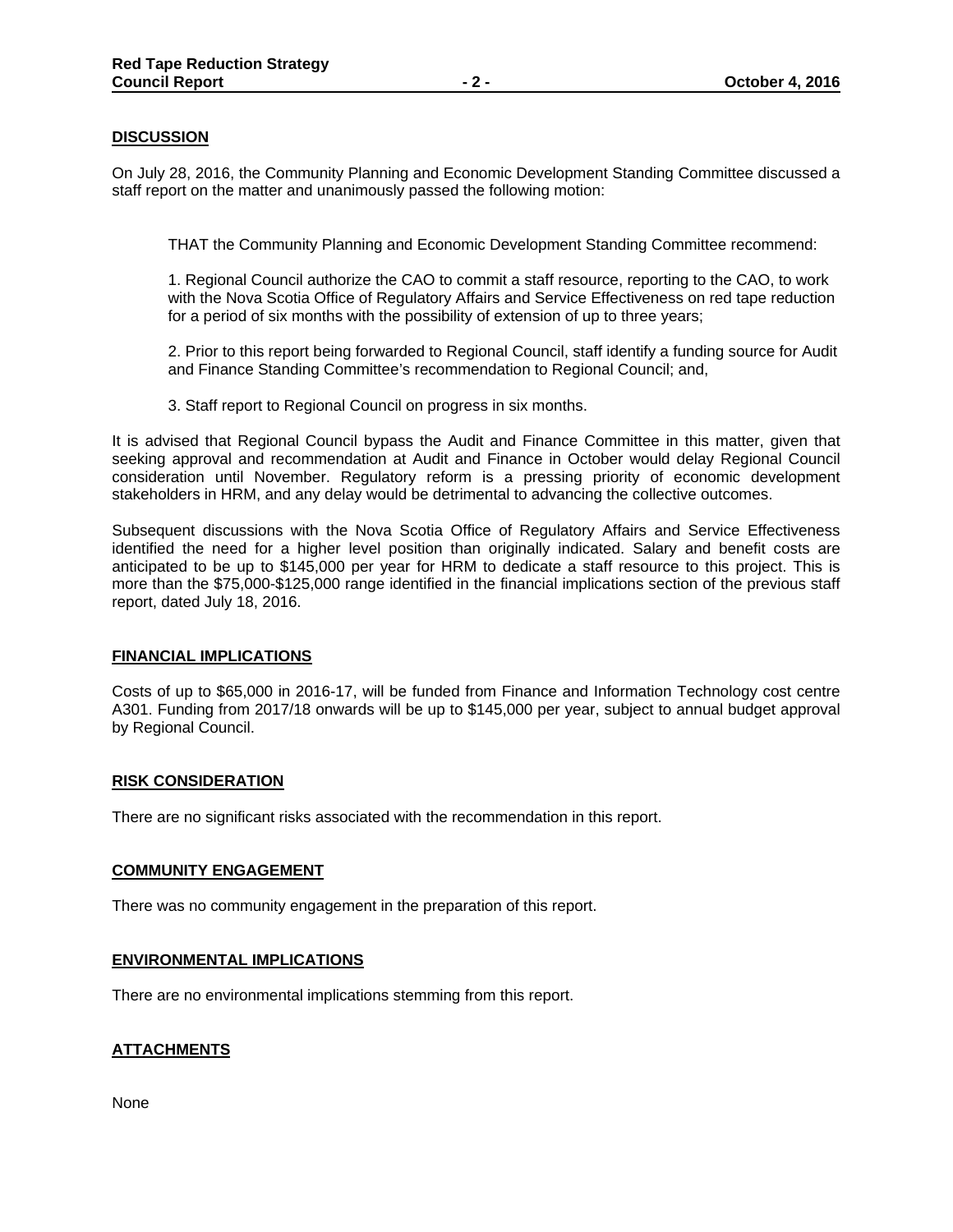## **DISCUSSION**

On July 28, 2016, the Community Planning and Economic Development Standing Committee discussed a staff report on the matter and unanimously passed the following motion:

THAT the Community Planning and Economic Development Standing Committee recommend:

1. Regional Council authorize the CAO to commit a staff resource, reporting to the CAO, to work with the Nova Scotia Office of Regulatory Affairs and Service Effectiveness on red tape reduction for a period of six months with the possibility of extension of up to three years;

2. Prior to this report being forwarded to Regional Council, staff identify a funding source for Audit and Finance Standing Committee's recommendation to Regional Council; and,

3. Staff report to Regional Council on progress in six months.

It is advised that Regional Council bypass the Audit and Finance Committee in this matter, given that seeking approval and recommendation at Audit and Finance in October would delay Regional Council consideration until November. Regulatory reform is a pressing priority of economic development stakeholders in HRM, and any delay would be detrimental to advancing the collective outcomes.

Subsequent discussions with the Nova Scotia Office of Regulatory Affairs and Service Effectiveness identified the need for a higher level position than originally indicated. Salary and benefit costs are anticipated to be up to \$145,000 per year for HRM to dedicate a staff resource to this project. This is more than the \$75,000-\$125,000 range identified in the financial implications section of the previous staff report, dated July 18, 2016.

#### **FINANCIAL IMPLICATIONS**

Costs of up to \$65,000 in 2016-17, will be funded from Finance and Information Technology cost centre A301. Funding from 2017/18 onwards will be up to \$145,000 per year, subject to annual budget approval by Regional Council.

#### **RISK CONSIDERATION**

There are no significant risks associated with the recommendation in this report.

#### **COMMUNITY ENGAGEMENT**

There was no community engagement in the preparation of this report.

#### **ENVIRONMENTAL IMPLICATIONS**

There are no environmental implications stemming from this report.

## **ATTACHMENTS**

None